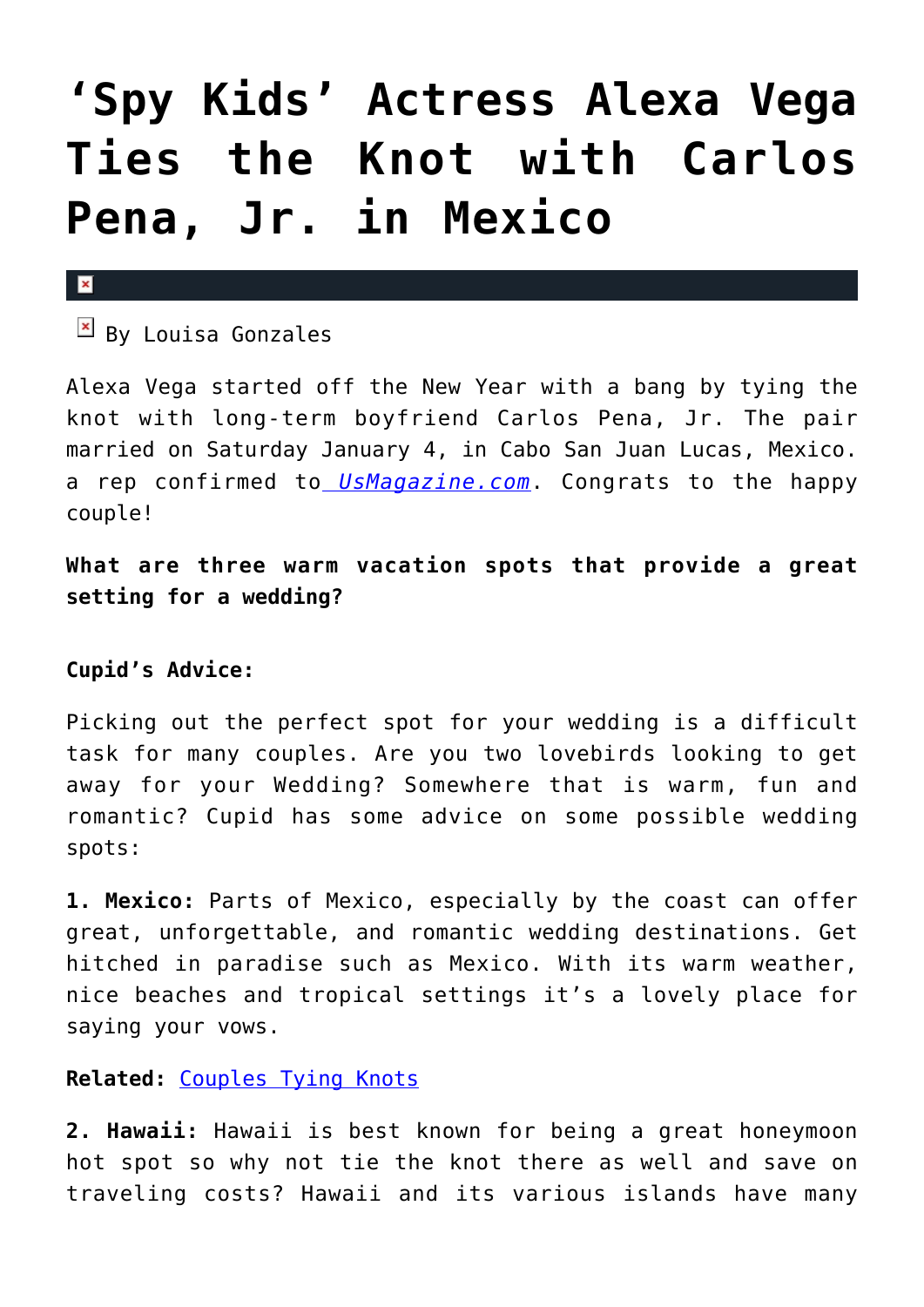## **['Spy Kids' Actress Alexa Vega](https://cupidspulse.com/67202/alexa-vega-married-carlos-pena-jr-mexico/) [Ties the Knot with Carlos](https://cupidspulse.com/67202/alexa-vega-married-carlos-pena-jr-mexico/) [Pena, Jr. in Mexico](https://cupidspulse.com/67202/alexa-vega-married-carlos-pena-jr-mexico/)**

## $\mathbf{x}$

 $\boxed{\times}$  By Louisa Gonzales

Alexa Vega started off the New Year with a bang by tying the knot with long-term boyfriend Carlos Pena, Jr. The pair married on Saturday January 4, in Cabo San Juan Lucas, Mexico. a rep confirmed to *[UsMagazine.com](http://www.usmagazine.com/celebrity-news/news/alexa-vega-marries-boyfriend-carlos-pena-jr-in-mexico-201451)*. Congrats to the happy couple!

**What are three warm vacation spots that provide a great setting for a wedding?**

## **Cupid's Advice:**

Picking out the perfect spot for your wedding is a difficult task for many couples. Are you two lovebirds looking to get away for your Wedding? Somewhere that is warm, fun and romantic? Cupid has some advice on some possible wedding spots:

**1. Mexico:** Parts of Mexico, especially by the coast can offer great, unforgettable, and romantic wedding destinations. Get hitched in paradise such as Mexico. With its warm weather, nice beaches and tropical settings it's a lovely place for saying your vows.

**Related:** [Couples Tying Knots](http://cupidspulse.com/celebrity-relationships/wedding-engagement/)

**2. Hawaii:** Hawaii is best known for being a great honeymoon hot spot so why not tie the knot there as well and save on traveling costs? Hawaii and its various islands have many